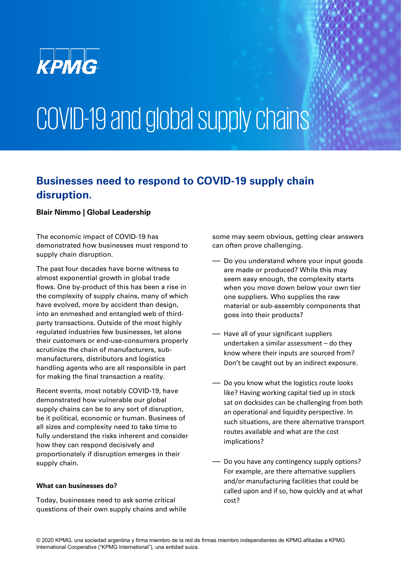

# COVID-19 and global supply chains

### **Businesses need to respond to COVID-19 supply chain disruption.**

#### **Blair Nimmo | Global Leadership**

The economic impact of COVID-19 has demonstrated how businesses must respond to supply chain disruption.

The past four decades have borne witness to almost exponential growth in global trade flows. One by-product of this has been a rise in the complexity of supply chains, many of which have evolved, more by accident than design, into an enmeshed and entangled web of thirdparty transactions. Outside of the most highly regulated industries few businesses, let alone their customers or end-use-consumers properly scrutinize the chain of manufacturers, submanufacturers, distributors and logistics handling agents who are all responsible in part for making the final transaction a reality.

Recent events, most notably COVID-19, have demonstrated how vulnerable our global supply chains can be to any sort of disruption, be it political, economic or human. Business of all sizes and complexity need to take time to fully understand the risks inherent and consider how they can respond decisively and proportionately if disruption emerges in their supply chain.

#### **What can businesses do?**

Today, businesses need to ask some critical questions of their own supply chains and while some may seem obvious, getting clear answers can often prove challenging.

- Do you understand where your input goods are made or produced? While this may seem easy enough, the complexity starts when you move down below your own tier one suppliers. Who supplies the raw material or sub-assembly components that goes into their products?
- Have all of your significant suppliers undertaken a similar assessment – do they know where their inputs are sourced from? Don't be caught out by an indirect exposure.
- Do you know what the logistics route looks like? Having working capital tied up in stock sat on docksides can be challenging from both an operational and liquidity perspective. In such situations, are there alternative transport routes available and what are the cost implications?
- Do you have any contingency supply options? For example, are there alternative suppliers and/or manufacturing facilities that could be called upon and if so, how quickly and at what cost?